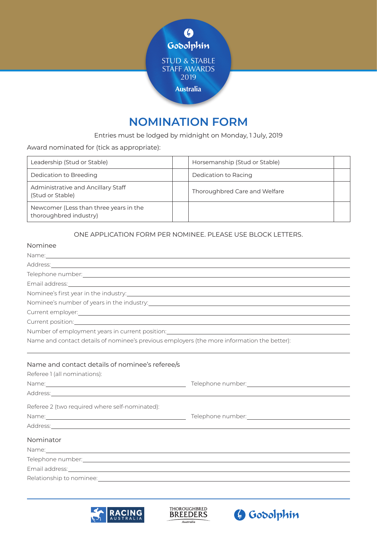

# **NOMINATION FORM**

# Entries must be lodged by midnight on Monday, 1 July, 2019

Award nominated for (tick as appropriate):

| Leadership (Stud or Stable)                                      | Horsemanship (Stud or Stable) |  |
|------------------------------------------------------------------|-------------------------------|--|
| Dedication to Breeding                                           | Dedication to Racing          |  |
| Administrative and Ancillary Staff<br>(Stud or Stable)           | Thoroughbred Care and Welfare |  |
| Newcomer (Less than three years in the<br>thoroughbred industry) |                               |  |

# ONE APPLICATION FORM PER NOMINEE. PLEASE USE BLOCK LETTERS.

# Nominee

| Address: <u>Address: Address: Address: Address: Address: Address: Address: Address: Address: Address: Address: Address: Address: Address: Address: Address: Address: Address: Address: Address: Address: Address: Address: Addre</u>                                                                                                                                                                                                                                                                                                                                                                        |  |  |  |
|-------------------------------------------------------------------------------------------------------------------------------------------------------------------------------------------------------------------------------------------------------------------------------------------------------------------------------------------------------------------------------------------------------------------------------------------------------------------------------------------------------------------------------------------------------------------------------------------------------------|--|--|--|
|                                                                                                                                                                                                                                                                                                                                                                                                                                                                                                                                                                                                             |  |  |  |
|                                                                                                                                                                                                                                                                                                                                                                                                                                                                                                                                                                                                             |  |  |  |
|                                                                                                                                                                                                                                                                                                                                                                                                                                                                                                                                                                                                             |  |  |  |
|                                                                                                                                                                                                                                                                                                                                                                                                                                                                                                                                                                                                             |  |  |  |
| Current employer: <u>contract the contract of the contract of the contract of the contract of the contract of the contract of the contract of the contract of the contract of the contract of the contract of the contract of th</u>                                                                                                                                                                                                                                                                                                                                                                        |  |  |  |
| Current position: <u>contract and contract and contract and contract and contract and contract and contract and contract and contract and contract and contract and contract and contract and contract and contract and contract</u>                                                                                                                                                                                                                                                                                                                                                                        |  |  |  |
| Number of employment years in current position: _________________________________                                                                                                                                                                                                                                                                                                                                                                                                                                                                                                                           |  |  |  |
| Name and contact details of nominee's previous employers (the more information the better):                                                                                                                                                                                                                                                                                                                                                                                                                                                                                                                 |  |  |  |
| Name and contact details of nominee's referee/s<br>Referee 1 (all nominations):<br>Address: <u>Address: Address: Address: Address: Address: Address: Address: Address: Address: Address: Address: Address: Address: Address: Address: Address: Address: Address: Address: Address: Address: Address: Address: Addre</u><br>Referee 2 (two required where self-nominated):<br>Address: Address: Address: Address: Address: Address: Address: Address: Address: Address: Address: Address: Address: Address: Address: Address: Address: Address: Address: Address: Address: Address: Address: Address: Addres |  |  |  |
| Nominator                                                                                                                                                                                                                                                                                                                                                                                                                                                                                                                                                                                                   |  |  |  |
| Name: Name: Name: Name: Name: Name: Name: Name: Name: Name: Name: Name: Name: Name: Name: Name: Name: Name: Name: Name: Name: Name: Name: Name: Name: Name: Name: Name: Name: Name: Name: Name: Name: Name: Name: Name: Name:                                                                                                                                                                                                                                                                                                                                                                               |  |  |  |
|                                                                                                                                                                                                                                                                                                                                                                                                                                                                                                                                                                                                             |  |  |  |
| Email address: etc. All and the second contract of the second contract of the second contract of the second contract of the second contract of the second contract of the second contract of the second contract of the second                                                                                                                                                                                                                                                                                                                                                                              |  |  |  |
|                                                                                                                                                                                                                                                                                                                                                                                                                                                                                                                                                                                                             |  |  |  |
|                                                                                                                                                                                                                                                                                                                                                                                                                                                                                                                                                                                                             |  |  |  |





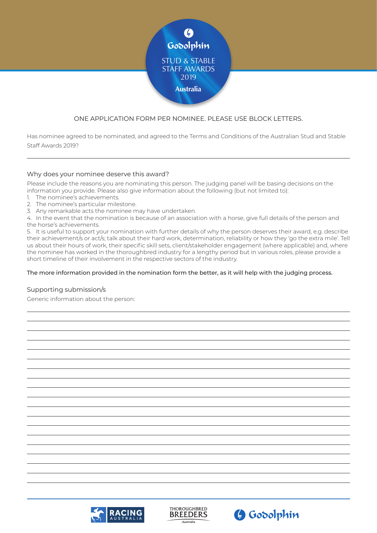

# ONE APPLICATION FORM PER NOMINEE. PLEASE USE BLOCK LETTERS.

Has nominee agreed to be nominated, and agreed to the Terms and Conditions of the Australian Stud and Stable Staff Awards 2019?

## Why does your nominee deserve this award?

Please include the reasons you are nominating this person. The judging panel will be basing decisions on the information you provide. Please also give information about the following (but not limited to):

- 1. The nominee's achievements.
- 2. The nominee's particular milestone.
- 3. Any remarkable acts the nominee may have undertaken.

4. In the event that the nomination is because of an association with a horse, give full details of the person and the horse's achievements.

5. It is useful to support your nomination with further details of why the person deserves their award, e.g. describe their achievement/s or act/s; talk about their hard work, determination, reliability or how they 'go the extra mile'. Tell us about their hours of work, their specific skill sets, client/stakeholder engagement (where applicable) and, where the nominee has worked in the thoroughbred industry for a lengthy period but in various roles, please provide a short timeline of their involvement in the respective sectors of the industry.

#### The more information provided in the nomination form the better, as it will help with the judging process.

## Supporting submission/s

Generic information about the person:

![](_page_1_Picture_13.jpeg)

![](_page_1_Picture_14.jpeg)

![](_page_1_Picture_15.jpeg)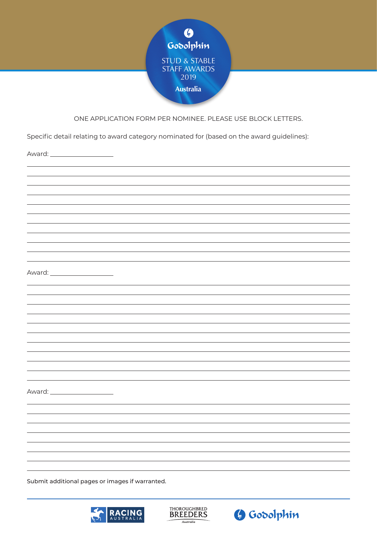![](_page_2_Picture_0.jpeg)

# ONE APPLICATION FORM PER NOMINEE. PLEASE USE BLOCK LETTERS.

Specific detail relating to award category nominated for (based on the award guidelines):

Award: \_\_\_\_\_\_\_\_ Award: Award:

Submit additional pages or images if warranted.

![](_page_2_Picture_5.jpeg)

![](_page_2_Picture_6.jpeg)

![](_page_2_Picture_7.jpeg)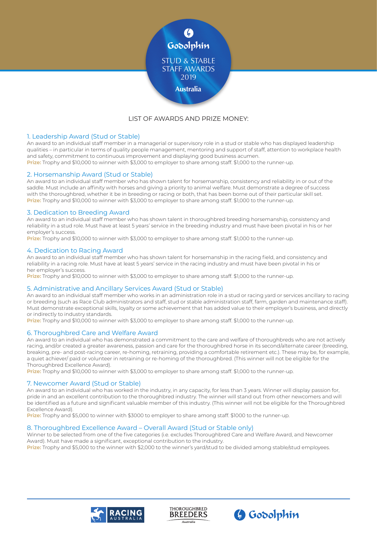![](_page_3_Picture_0.jpeg)

# LIST OF AWARDS AND PRIZE MONEY:

#### 1. Leadership Award (Stud or Stable)

An award to an individual staff member in a managerial or supervisory role in a stud or stable who has displayed leadership qualities – in particular in terms of quality people management, mentoring and support of staff, attention to workplace health and safety, commitment to continuous improvement and displaying good business acumen. **Prize:** Trophy and \$10,000 to winner with \$3,000 to employer to share among staff. \$1,000 to the runner-up.

#### 2. Horsemanship Award (Stud or Stable)

An award to an individual staff member who has shown talent for horsemanship, consistency and reliability in or out of the saddle. Must include an affinity with horses and giving a priority to animal welfare. Must demonstrate a degree of success with the thoroughbred, whether it be in breeding or racing or both, that has been borne out of their particular skill set. **Prize:** Trophy and \$10,000 to winner with \$3,000 to employer to share among staff. \$1,000 to the runner-up.

#### 3. Dedication to Breeding Award

An award to an individual staff member who has shown talent in thoroughbred breeding horsemanship, consistency and reliability in a stud role. Must have at least 5 years' service in the breeding industry and must have been pivotal in his or her employer's success.

**Prize:** Trophy and \$10,000 to winner with \$3,000 to employer to share among staff. \$1,000 to the runner-up.

#### 4. Dedication to Racing Award

An award to an individual staff member who has shown talent for horsemanship in the racing field, and consistency and reliability in a racing role. Must have at least 5 years' service in the racing industry and must have been pivotal in his or her employer's success.

**Prize:** Trophy and \$10,000 to winner with \$3,000 to employer to share among staff. \$1,000 to the runner-up.

#### 5. Administrative and Ancillary Services Award (Stud or Stable)

An award to an individual staff member who works in an administration role in a stud or racing yard or services ancillary to racing or breeding (such as Race Club administrators and staff, stud or stable administration staff, farm, garden and maintenance staff). Must demonstrate exceptional skills, loyalty or some achievement that has added value to their employer's business, and directly or indirectly to industry standards.

**Prize:** Trophy and \$10,000 to winner with \$3,000 to employer to share among staff. \$1,000 to the runner-up.

#### 6. Thoroughbred Care and Welfare Award

An award to an individual who has demonstrated a commitment to the care and welfare of thoroughbreds who are not actively racing, and/or created a greater awareness, passion and care for the thoroughbred horse in its second/alternate career (breeding, breaking, pre- and post-racing career, re-homing, retraining, providing a comfortable retirement etc.). These may be, for example, a quiet achiever/ paid or volunteer in retraining or re-homing of the thoroughbred. (This winner will not be eligible for the Thoroughbred Excellence Award).

**Prize:** Trophy and \$10,000 to winner with \$3,000 to employer to share among staff. \$1,000 to the runner-up.

#### 7. Newcomer Award (Stud or Stable)

An award to an individual who has worked in the industry, in any capacity, for less than 3 years. Winner will display passion for, pride in and an excellent contribution to the thoroughbred industry. The winner will stand out from other newcomers and will be identified as a future and significant valuable member of this industry. (This winner will not be eligible for the Thoroughbred Excellence Award).

**Prize:** Trophy and \$5,000 to winner with \$3000 to employer to share among staff. \$1000 to the runner-up.

#### 8. Thoroughbred Excellence Award – Overall Award (Stud or Stable only)

Winner to be selected from one of the five categories (i.e. excludes Thoroughbred Care and Welfare Award, and Newcomer Award). Must have made a significant, exceptional contribution to the industry. **Prize:** Trophy and \$5,000 to the winner with \$2,000 to the winner's yard/stud to be divided among stable/stud employees.

![](_page_3_Picture_23.jpeg)

![](_page_3_Picture_24.jpeg)

![](_page_3_Picture_25.jpeg)